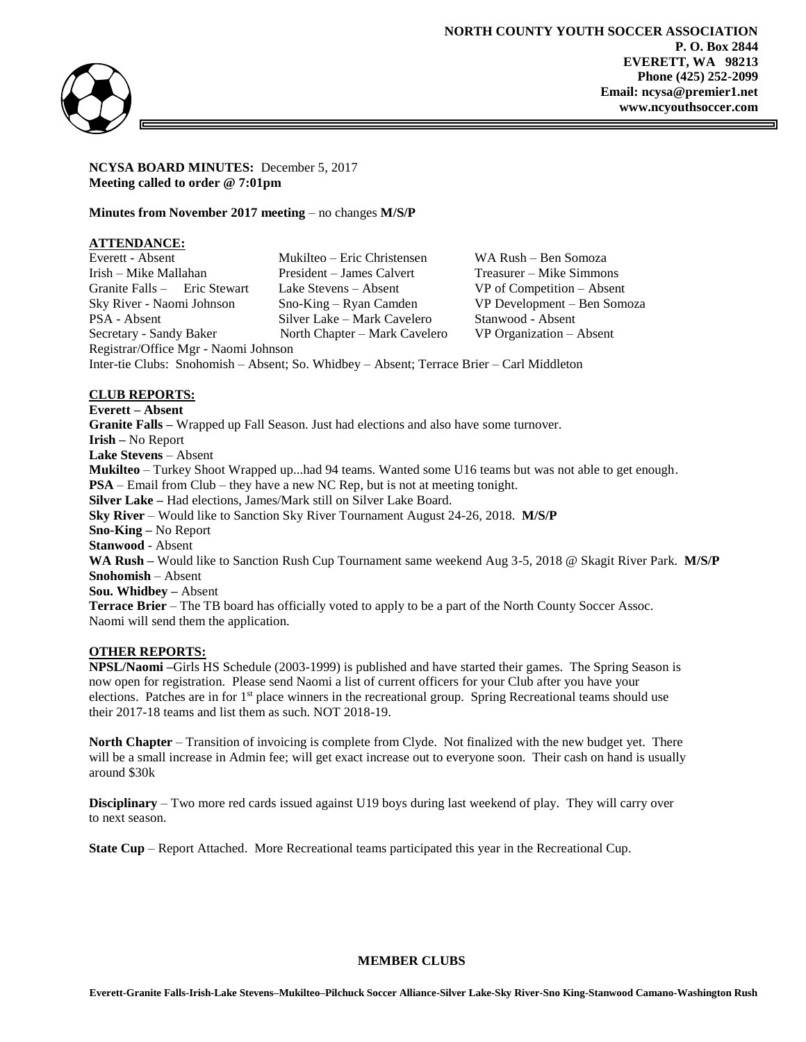

**NCYSA BOARD MINUTES:** December 5, 2017 **Meeting called to order @ 7:01pm**

**Minutes from November 2017 meeting** – no changes **M/S/P**

## **ATTENDANCE:**

| Everett - Absent                                                                          | Mukilteo – Eric Christensen   | WA Rush – Ben Somoza         |
|-------------------------------------------------------------------------------------------|-------------------------------|------------------------------|
| Irish – Mike Mallahan                                                                     | President – James Calvert     | Treasurer – Mike Simmons     |
| Granite Falls - Eric Stewart                                                              | Lake Stevens – Absent         | $VP$ of Competition – Absent |
| Sky River - Naomi Johnson                                                                 | $Sno-King - Ryan$ Camden      | VP Development – Ben Somoza  |
| PSA - Absent                                                                              | Silver Lake - Mark Cavelero   | Stanwood - Absent            |
| Secretary - Sandy Baker                                                                   | North Chapter – Mark Cavelero | $VP$ Organization $-$ Absent |
| Registrar/Office Mgr - Naomi Johnson                                                      |                               |                              |
| Inter-tie Clubs: Snohomish – Absent: So. Whidbey – Absent: Terrace Brier – Carl Middleton |                               |                              |

# **CLUB REPORTS:**

**Everett – Absent Granite Falls –** Wrapped up Fall Season. Just had elections and also have some turnover. **Irish –** No Report **Lake Stevens** – Absent **Mukilteo** – Turkey Shoot Wrapped up...had 94 teams. Wanted some U16 teams but was not able to get enough. **PSA** – Email from Club – they have a new NC Rep, but is not at meeting tonight. **Silver Lake –** Had elections, James/Mark still on Silver Lake Board. **Sky River** – Would like to Sanction Sky River Tournament August 24-26, 2018. **M/S/P Sno-King –** No Report **Stanwood** - Absent **WA Rush –** Would like to Sanction Rush Cup Tournament same weekend Aug 3-5, 2018 @ Skagit River Park. **M/S/P Snohomish** – Absent **Sou. Whidbey –** Absent **Terrace Brier** – The TB board has officially voted to apply to be a part of the North County Soccer Assoc. Naomi will send them the application.

# **OTHER REPORTS:**

**NPSL/Naomi –**Girls HS Schedule (2003-1999) is published and have started their games. The Spring Season is now open for registration. Please send Naomi a list of current officers for your Club after you have your elections. Patches are in for  $1<sup>st</sup>$  place winners in the recreational group. Spring Recreational teams should use their 2017-18 teams and list them as such. NOT 2018-19.

**North Chapter** – Transition of invoicing is complete from Clyde. Not finalized with the new budget yet. There will be a small increase in Admin fee; will get exact increase out to everyone soon. Their cash on hand is usually around \$30k

**Disciplinary** – Two more red cards issued against U19 boys during last weekend of play. They will carry over to next season.

**State Cup** – Report Attached. More Recreational teams participated this year in the Recreational Cup.

#### **MEMBER CLUBS**